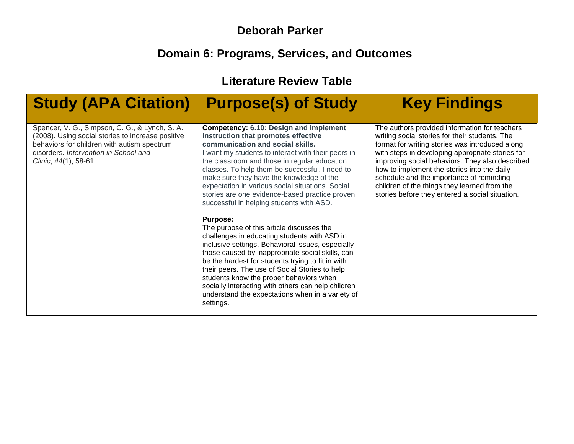## **Deborah Parker**

## **Domain 6: Programs, Services, and Outcomes**

**Literature Review Table**

| <b>Study (APA Citation)</b>                                                                                                                                                                                          | <b>Purpose(s) of Study</b>                                                                                                                                                                                                                                                                                                                                                                                                                                                                                                                                                                                                                                                                                                                                                                                                                                                                                                                                                       | <b>Key Findings</b>                                                                                                                                                                                                                                                                                                                                                                                                                                     |
|----------------------------------------------------------------------------------------------------------------------------------------------------------------------------------------------------------------------|----------------------------------------------------------------------------------------------------------------------------------------------------------------------------------------------------------------------------------------------------------------------------------------------------------------------------------------------------------------------------------------------------------------------------------------------------------------------------------------------------------------------------------------------------------------------------------------------------------------------------------------------------------------------------------------------------------------------------------------------------------------------------------------------------------------------------------------------------------------------------------------------------------------------------------------------------------------------------------|---------------------------------------------------------------------------------------------------------------------------------------------------------------------------------------------------------------------------------------------------------------------------------------------------------------------------------------------------------------------------------------------------------------------------------------------------------|
| Spencer, V. G., Simpson, C. G., & Lynch, S. A.<br>(2008). Using social stories to increase positive<br>behaviors for children with autism spectrum<br>disorders. Intervention in School and<br>Clinic, 44(1), 58-61. | <b>Competency: 6.10: Design and implement</b><br>instruction that promotes effective<br>communication and social skills.<br>I want my students to interact with their peers in<br>the classroom and those in regular education<br>classes. To help them be successful, I need to<br>make sure they have the knowledge of the<br>expectation in various social situations. Social<br>stories are one evidence-based practice proven<br>successful in helping students with ASD.<br><b>Purpose:</b><br>The purpose of this article discusses the<br>challenges in educating students with ASD in<br>inclusive settings. Behavioral issues, especially<br>those caused by inappropriate social skills, can<br>be the hardest for students trying to fit in with<br>their peers. The use of Social Stories to help<br>students know the proper behaviors when<br>socially interacting with others can help children<br>understand the expectations when in a variety of<br>settings. | The authors provided information for teachers<br>writing social stories for their students. The<br>format for writing stories was introduced along<br>with steps in developing appropriate stories for<br>improving social behaviors. They also described<br>how to implement the stories into the daily<br>schedule and the importance of reminding<br>children of the things they learned from the<br>stories before they entered a social situation. |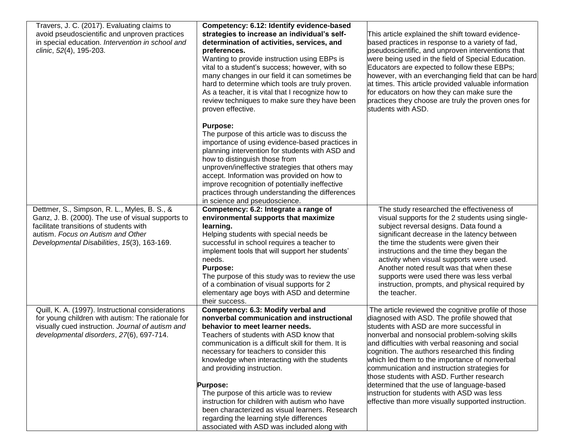| Travers, J. C. (2017). Evaluating claims to<br>avoid pseudoscientific and unproven practices<br>in special education. Intervention in school and<br>clinic, 52(4), 195-203.                                                      | Competency: 6.12: Identify evidence-based<br>strategies to increase an individual's self-<br>determination of activities, services, and<br>preferences.<br>Wanting to provide instruction using EBPs is<br>vital to a student's success; however, with so<br>many changes in our field it can sometimes be<br>hard to determine which tools are truly proven.<br>As a teacher, it is vital that I recognize how to<br>review techniques to make sure they have been<br>proven effective.                                                                                                                    | This article explained the shift toward evidence-<br>based practices in response to a variety of fad,<br>pseudoscientific, and unproven interventions that<br>were being used in the field of Special Education.<br>Educators are expected to follow these EBPs;<br>however, with an everchanging field that can be hard<br>at times. This article provided valuable information<br>for educators on how they can make sure the<br>practices they choose are truly the proven ones for<br>students with ASD.                                                                                            |
|----------------------------------------------------------------------------------------------------------------------------------------------------------------------------------------------------------------------------------|-------------------------------------------------------------------------------------------------------------------------------------------------------------------------------------------------------------------------------------------------------------------------------------------------------------------------------------------------------------------------------------------------------------------------------------------------------------------------------------------------------------------------------------------------------------------------------------------------------------|---------------------------------------------------------------------------------------------------------------------------------------------------------------------------------------------------------------------------------------------------------------------------------------------------------------------------------------------------------------------------------------------------------------------------------------------------------------------------------------------------------------------------------------------------------------------------------------------------------|
|                                                                                                                                                                                                                                  | <b>Purpose:</b><br>The purpose of this article was to discuss the<br>importance of using evidence-based practices in<br>planning intervention for students with ASD and<br>how to distinguish those from<br>unproven/ineffective strategies that others may<br>accept. Information was provided on how to<br>improve recognition of potentially ineffective<br>practices through understanding the differences<br>in science and pseudoscience.                                                                                                                                                             |                                                                                                                                                                                                                                                                                                                                                                                                                                                                                                                                                                                                         |
| Dettmer, S., Simpson, R. L., Myles, B. S., &<br>Ganz, J. B. (2000). The use of visual supports to<br>facilitate transitions of students with<br>autism. Focus on Autism and Other<br>Developmental Disabilities, 15(3), 163-169. | Competency: 6.2: Integrate a range of<br>environmental supports that maximize<br>learning.<br>Helping students with special needs be<br>successful in school requires a teacher to<br>implement tools that will support her students'<br>needs.<br><b>Purpose:</b><br>The purpose of this study was to review the use<br>of a combination of visual supports for 2<br>elementary age boys with ASD and determine<br>their success.                                                                                                                                                                          | The study researched the effectiveness of<br>visual supports for the 2 students using single-<br>subject reversal designs. Data found a<br>significant decrease in the latency between<br>the time the students were given their<br>instructions and the time they began the<br>activity when visual supports were used.<br>Another noted result was that when these<br>supports were used there was less verbal<br>instruction, prompts, and physical required by<br>the teacher.                                                                                                                      |
| Quill, K. A. (1997). Instructional considerations<br>for young children with autism: The rationale for<br>visually cued instruction. Journal of autism and<br>developmental disorders, 27(6), 697-714.                           | Competency: 6.3: Modify verbal and<br>nonverbal communication and instructional<br>behavior to meet learner needs.<br>Teachers of students with ASD know that<br>communication is a difficult skill for them. It is<br>necessary for teachers to consider this<br>knowledge when interacting with the students<br>and providing instruction.<br><b>Purpose:</b><br>The purpose of this article was to review<br>instruction for children with autism who have<br>been characterized as visual learners. Research<br>regarding the learning style differences<br>associated with ASD was included along with | The article reviewed the cognitive profile of those<br>diagnosed with ASD. The profile showed that<br>students with ASD are more successful in<br>nonverbal and nonsocial problem-solving skills<br>and difficulties with verbal reasoning and social<br>cognition. The authors researched this finding<br>which led them to the importance of nonverbal<br>communication and instruction strategies for<br>those students with ASD. Further research<br>determined that the use of language-based<br>instruction for students with ASD was less<br>effective than more visually supported instruction. |